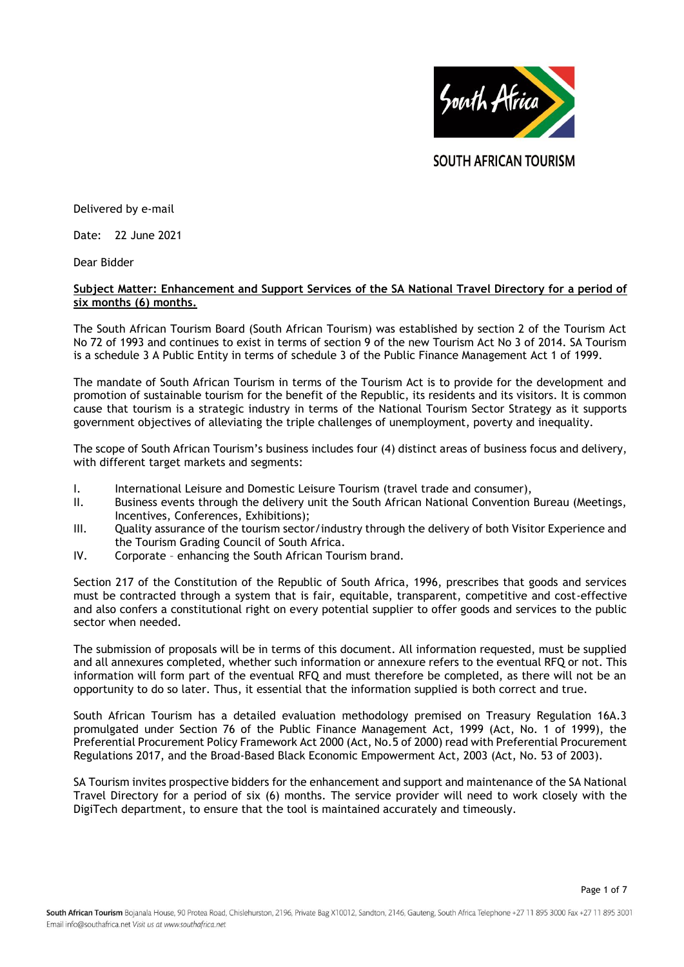

**SOUTH AFRICAN TOURISM** 

Delivered by e-mail

Date: 22 June 2021

Dear Bidder

# **Subject Matter: Enhancement and Support Services of the SA National Travel Directory for a period of six months (6) months.**

The South African Tourism Board (South African Tourism) was established by section 2 of the Tourism Act No 72 of 1993 and continues to exist in terms of section 9 of the new Tourism Act No 3 of 2014. SA Tourism is a schedule 3 A Public Entity in terms of schedule 3 of the Public Finance Management Act 1 of 1999.

The mandate of South African Tourism in terms of the Tourism Act is to provide for the development and promotion of sustainable tourism for the benefit of the Republic, its residents and its visitors. It is common cause that tourism is a strategic industry in terms of the National Tourism Sector Strategy as it supports government objectives of alleviating the triple challenges of unemployment, poverty and inequality.

The scope of South African Tourism's business includes four (4) distinct areas of business focus and delivery, with different target markets and segments:

- I. International Leisure and Domestic Leisure Tourism (travel trade and consumer),
- II. Business events through the delivery unit the South African National Convention Bureau (Meetings, Incentives, Conferences, Exhibitions);
- III. Quality assurance of the tourism sector/industry through the delivery of both Visitor Experience and the Tourism Grading Council of South Africa.
- IV. Corporate enhancing the South African Tourism brand.

Section 217 of the Constitution of the Republic of South Africa, 1996, prescribes that goods and services must be contracted through a system that is fair, equitable, transparent, competitive and cost-effective and also confers a constitutional right on every potential supplier to offer goods and services to the public sector when needed.

The submission of proposals will be in terms of this document. All information requested, must be supplied and all annexures completed, whether such information or annexure refers to the eventual RFQ or not. This information will form part of the eventual RFQ and must therefore be completed, as there will not be an opportunity to do so later. Thus, it essential that the information supplied is both correct and true.

South African Tourism has a detailed evaluation methodology premised on Treasury Regulation 16A.3 promulgated under Section 76 of the Public Finance Management Act, 1999 (Act, No. 1 of 1999), the Preferential Procurement Policy Framework Act 2000 (Act, No.5 of 2000) read with Preferential Procurement Regulations 2017, and the Broad-Based Black Economic Empowerment Act, 2003 (Act, No. 53 of 2003).

SA Tourism invites prospective bidders for the enhancement and support and maintenance of the SA National Travel Directory for a period of six (6) months. The service provider will need to work closely with the DigiTech department, to ensure that the tool is maintained accurately and timeously.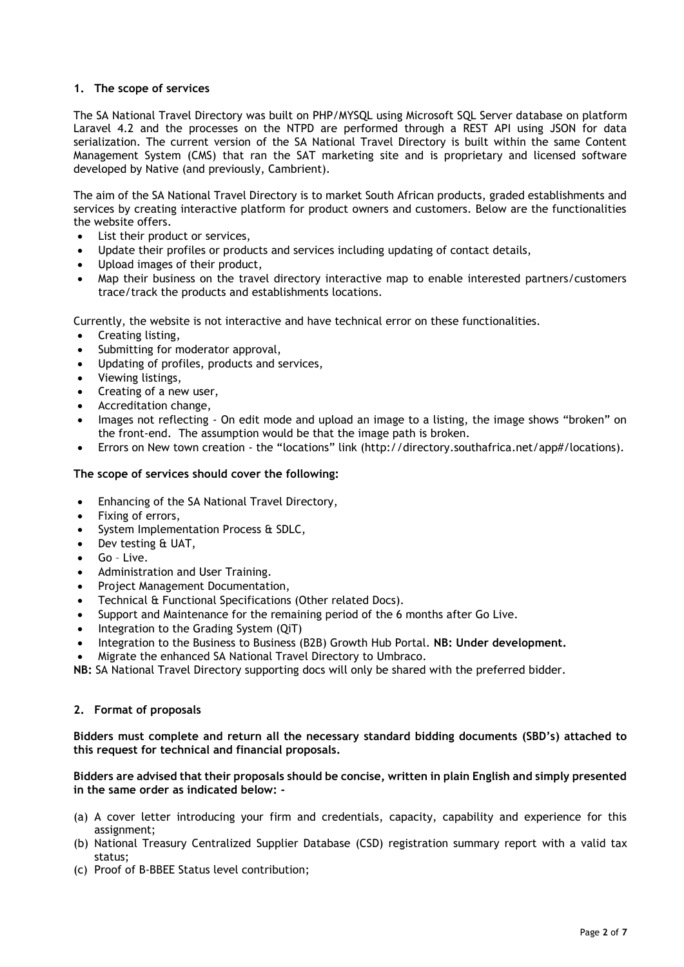# **1. The scope of services**

The SA National Travel Directory was built on PHP/MYSQL using Microsoft SQL Server database on platform Laravel 4.2 and the processes on the NTPD are performed through a REST API using JSON for data serialization. The current version of the SA National Travel Directory is built within the same Content Management System (CMS) that ran the SAT marketing site and is proprietary and licensed software developed by Native (and previously, Cambrient).

The aim of the SA National Travel Directory is to market South African products, graded establishments and services by creating interactive platform for product owners and customers. Below are the functionalities the website offers.

- List their product or services,
- Update their profiles or products and services including updating of contact details,
- Upload images of their product,
- Map their business on the travel directory interactive map to enable interested partners/customers trace/track the products and establishments locations.

Currently, the website is not interactive and have technical error on these functionalities.

- Creating listing,
- Submitting for moderator approval,
- Updating of profiles, products and services,
- Viewing listings,
- Creating of a new user,
- Accreditation change,
- Images not reflecting On edit mode and upload an image to a listing, the image shows "broken" on the front-end. The assumption would be that the image path is broken.
- Errors on New town creation the "locations" link (http://directory.southafrica.net/app#/locations).

# **The scope of services should cover the following:**

- Enhancing of the SA National Travel Directory,
- Fixing of errors,
- System Implementation Process & SDLC,
- Dev testing & UAT,
- Go Live.
- Administration and User Training.
- Project Management Documentation,
- Technical & Functional Specifications (Other related Docs).
- Support and Maintenance for the remaining period of the 6 months after Go Live.
- Integration to the Grading System (QiT)
- Integration to the Business to Business (B2B) Growth Hub Portal. **NB: Under development.**
- Migrate the enhanced SA National Travel Directory to Umbraco.

**NB:** SA National Travel Directory supporting docs will only be shared with the preferred bidder.

# **2. Format of proposals**

**Bidders must complete and return all the necessary standard bidding documents (SBD's) attached to this request for technical and financial proposals.**

### **Bidders are advised that their proposals should be concise, written in plain English and simply presented in the same order as indicated below: -**

- (a) A cover letter introducing your firm and credentials, capacity, capability and experience for this assignment;
- (b) National Treasury Centralized Supplier Database (CSD) registration summary report with a valid tax status;
- (c) Proof of B-BBEE Status level contribution;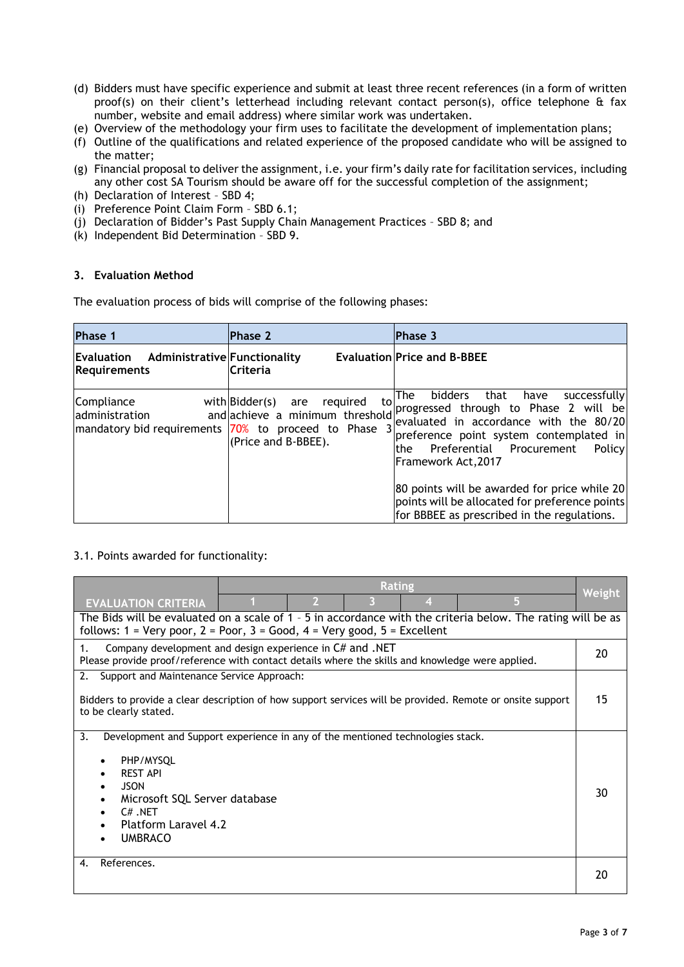- (d) Bidders must have specific experience and submit at least three recent references (in a form of written proof(s) on their client's letterhead including relevant contact person(s), office telephone & fax number, website and email address) where similar work was undertaken.
- (e) Overview of the methodology your firm uses to facilitate the development of implementation plans;
- (f) Outline of the qualifications and related experience of the proposed candidate who will be assigned to the matter;
- (g) Financial proposal to deliver the assignment, i.e. your firm's daily rate for facilitation services, including any other cost SA Tourism should be aware off for the successful completion of the assignment;
- (h) Declaration of Interest SBD 4;
- (i) Preference Point Claim Form SBD 6.1;
- (j) Declaration of Bidder's Past Supply Chain Management Practices SBD 8; and
- (k) Independent Bid Determination SBD 9.

### **3. Evaluation Method**

The evaluation process of bids will comprise of the following phases:

| Phase 1                                                 | Phase 2                                                                                                                                                   | <b>Phase 3</b>                                                                                                                                                                                                                                                                                                                                                                              |
|---------------------------------------------------------|-----------------------------------------------------------------------------------------------------------------------------------------------------------|---------------------------------------------------------------------------------------------------------------------------------------------------------------------------------------------------------------------------------------------------------------------------------------------------------------------------------------------------------------------------------------------|
| Evaluation Administrative Functionality<br>Requirements | <b>Criteria</b>                                                                                                                                           | <b>Evaluation Price and B-BBEE</b>                                                                                                                                                                                                                                                                                                                                                          |
| Compliance<br>administration                            | to<br>required<br>with Bidder(s) are<br>and achieve a minimum threshold<br> mandatory bid requirements  70% to proceed to Phase 3 <br>(Price and B-BBEE). | bidders that have<br>successfully<br>The<br>progressed through to Phase 2 will be<br>evaluated in accordance with the 80/20<br>preference point system contemplated in<br>Preferential Procurement<br>Policy<br>the<br>lFramework Act.2017<br>80 points will be awarded for price while 20<br>points will be allocated for preference points<br>for BBBEE as prescribed in the regulations. |

# 3.1. Points awarded for functionality:

|                                                                                                               | <b>Rating</b> |  |    |   |               |
|---------------------------------------------------------------------------------------------------------------|---------------|--|----|---|---------------|
| <b>EVALUATION CRITERIA</b>                                                                                    |               |  |    | 5 | <b>Weight</b> |
| The Bids will be evaluated on a scale of 1 - 5 in accordance with the criteria below. The rating will be as   |               |  |    |   |               |
| follows: $1 = \text{Very poor}, 2 = \text{Poor}, 3 = \text{Good}, 4 = \text{Very good}, 5 = \text{Excellent}$ |               |  |    |   |               |
| Company development and design experience in C# and .NET<br>1.                                                |               |  | 20 |   |               |
| Please provide proof/reference with contact details where the skills and knowledge were applied.              |               |  |    |   |               |
| Support and Maintenance Service Approach:<br>2.                                                               |               |  |    |   |               |
| Bidders to provide a clear description of how support services will be provided. Remote or onsite support     |               |  |    |   | 15            |
| to be clearly stated.                                                                                         |               |  |    |   |               |
|                                                                                                               |               |  |    |   |               |
| 3.<br>Development and Support experience in any of the mentioned technologies stack.                          |               |  |    |   |               |
|                                                                                                               |               |  |    |   |               |
| PHP/MYSOL<br><b>REST API</b>                                                                                  |               |  |    |   |               |
| <b>JSON</b>                                                                                                   |               |  |    |   |               |
| Microsoft SQL Server database                                                                                 |               |  | 30 |   |               |
| $C#$ NET                                                                                                      |               |  |    |   |               |
| Platform Laravel 4.2                                                                                          |               |  |    |   |               |
| <b>UMBRACO</b>                                                                                                |               |  |    |   |               |
| References.<br>4.                                                                                             |               |  |    |   |               |
|                                                                                                               |               |  |    |   | 20            |
|                                                                                                               |               |  |    |   |               |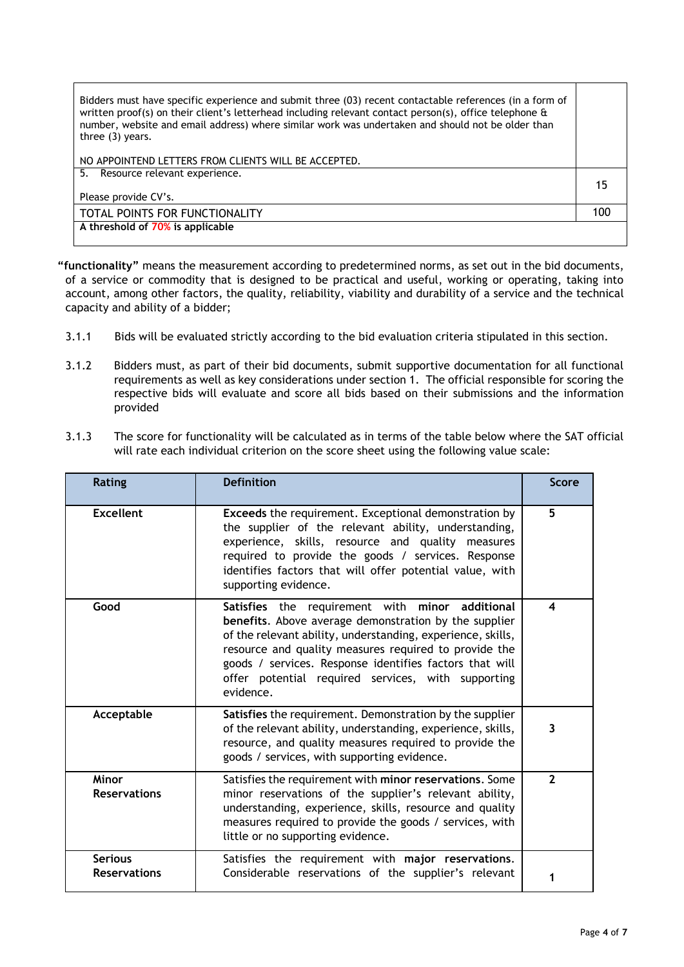| Bidders must have specific experience and submit three (03) recent contactable references (in a form of<br>written proof(s) on their client's letterhead including relevant contact person(s), office telephone &<br>number, website and email address) where similar work was undertaken and should not be older than<br>three $(3)$ years. |    |
|----------------------------------------------------------------------------------------------------------------------------------------------------------------------------------------------------------------------------------------------------------------------------------------------------------------------------------------------|----|
| NO APPOINTEND LETTERS FROM CLIENTS WILL BE ACCEPTED.                                                                                                                                                                                                                                                                                         |    |
| 5. Resource relevant experience.                                                                                                                                                                                                                                                                                                             |    |
|                                                                                                                                                                                                                                                                                                                                              | 15 |
| Please provide CV's.                                                                                                                                                                                                                                                                                                                         |    |
| TOTAL POINTS FOR FUNCTIONALITY                                                                                                                                                                                                                                                                                                               |    |
| A threshold of 70% is applicable                                                                                                                                                                                                                                                                                                             |    |
|                                                                                                                                                                                                                                                                                                                                              |    |

**"functionality"** means the measurement according to predetermined norms, as set out in the bid documents, of a service or commodity that is designed to be practical and useful, working or operating, taking into account, among other factors, the quality, reliability, viability and durability of a service and the technical capacity and ability of a bidder;

- 3.1.1 Bids will be evaluated strictly according to the bid evaluation criteria stipulated in this section.
- 3.1.2 Bidders must, as part of their bid documents, submit supportive documentation for all functional requirements as well as key considerations under section 1. The official responsible for scoring the respective bids will evaluate and score all bids based on their submissions and the information provided
- 3.1.3 The score for functionality will be calculated as in terms of the table below where the SAT official will rate each individual criterion on the score sheet using the following value scale:

| <b>Rating</b>                         | <b>Definition</b>                                                                                                                                                                                                                                                                                                                                                 | <b>Score</b>   |
|---------------------------------------|-------------------------------------------------------------------------------------------------------------------------------------------------------------------------------------------------------------------------------------------------------------------------------------------------------------------------------------------------------------------|----------------|
| <b>Excellent</b>                      | Exceeds the requirement. Exceptional demonstration by<br>the supplier of the relevant ability, understanding,<br>experience, skills, resource and quality measures<br>required to provide the goods / services. Response<br>identifies factors that will offer potential value, with<br>supporting evidence.                                                      | 5              |
| Good                                  | Satisfies the requirement with<br>minor additional<br>benefits. Above average demonstration by the supplier<br>of the relevant ability, understanding, experience, skills,<br>resource and quality measures required to provide the<br>goods / services. Response identifies factors that will<br>offer potential required services, with supporting<br>evidence. | 4              |
| Acceptable                            | Satisfies the requirement. Demonstration by the supplier<br>of the relevant ability, understanding, experience, skills,<br>resource, and quality measures required to provide the<br>goods / services, with supporting evidence.                                                                                                                                  | 3              |
| Minor<br><b>Reservations</b>          | Satisfies the requirement with minor reservations. Some<br>minor reservations of the supplier's relevant ability,<br>understanding, experience, skills, resource and quality<br>measures required to provide the goods / services, with<br>little or no supporting evidence.                                                                                      | $\overline{2}$ |
| <b>Serious</b><br><b>Reservations</b> | Satisfies the requirement with major reservations.<br>Considerable reservations of the supplier's relevant                                                                                                                                                                                                                                                        |                |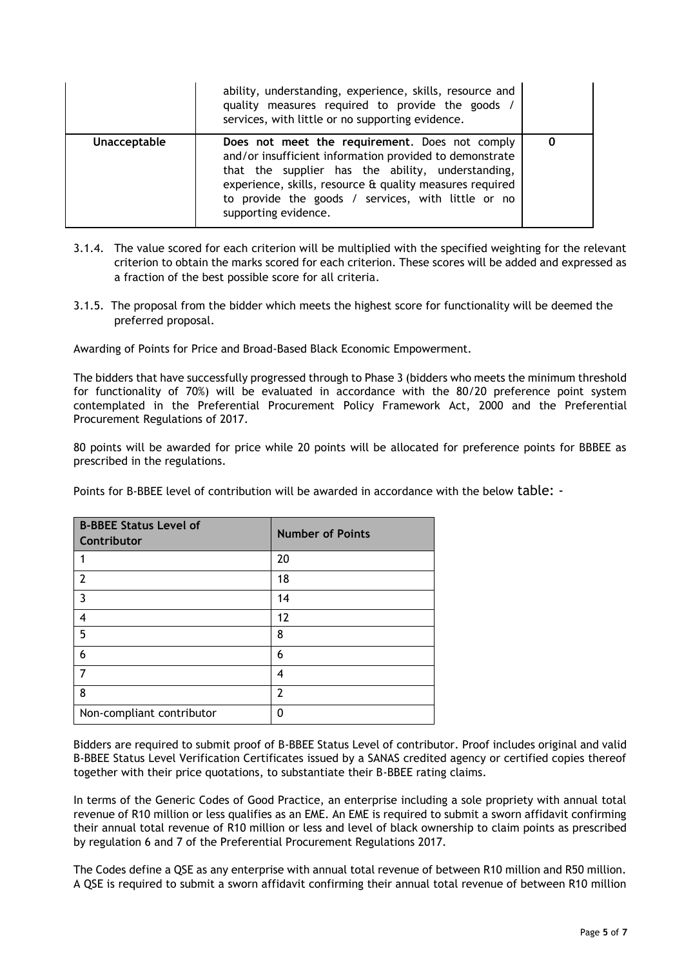|              | ability, understanding, experience, skills, resource and<br>quality measures required to provide the goods /<br>services, with little or no supporting evidence.                                                                                                                                         |  |
|--------------|----------------------------------------------------------------------------------------------------------------------------------------------------------------------------------------------------------------------------------------------------------------------------------------------------------|--|
| Unacceptable | Does not meet the requirement. Does not comply<br>and/or insufficient information provided to demonstrate<br>that the supplier has the ability, understanding,<br>experience, skills, resource & quality measures required<br>to provide the goods / services, with little or no<br>supporting evidence. |  |

- 3.1.4. The value scored for each criterion will be multiplied with the specified weighting for the relevant criterion to obtain the marks scored for each criterion. These scores will be added and expressed as a fraction of the best possible score for all criteria.
- 3.1.5. The proposal from the bidder which meets the highest score for functionality will be deemed the preferred proposal.

Awarding of Points for Price and Broad-Based Black Economic Empowerment.

The bidders that have successfully progressed through to Phase 3 (bidders who meets the minimum threshold for functionality of 70%) will be evaluated in accordance with the 80/20 preference point system contemplated in the Preferential Procurement Policy Framework Act, 2000 and the Preferential Procurement Regulations of 2017.

80 points will be awarded for price while 20 points will be allocated for preference points for BBBEE as prescribed in the regulations.

Points for B-BBEE level of contribution will be awarded in accordance with the below table: -

| <b>B-BBEE Status Level of</b><br>Contributor | <b>Number of Points</b> |
|----------------------------------------------|-------------------------|
|                                              | 20                      |
| $\overline{2}$                               | 18                      |
| $\overline{3}$                               | 14                      |
| 4                                            | 12                      |
| 5                                            | 8                       |
| 6                                            | 6                       |
| 7                                            | 4                       |
| 8                                            | $\overline{2}$          |
| Non-compliant contributor                    | n                       |

Bidders are required to submit proof of B-BBEE Status Level of contributor. Proof includes original and valid B-BBEE Status Level Verification Certificates issued by a SANAS credited agency or certified copies thereof together with their price quotations, to substantiate their B-BBEE rating claims.

In terms of the Generic Codes of Good Practice, an enterprise including a sole propriety with annual total revenue of R10 million or less qualifies as an EME. An EME is required to submit a sworn affidavit confirming their annual total revenue of R10 million or less and level of black ownership to claim points as prescribed by regulation 6 and 7 of the Preferential Procurement Regulations 2017.

The Codes define a QSE as any enterprise with annual total revenue of between R10 million and R50 million. A QSE is required to submit a sworn affidavit confirming their annual total revenue of between R10 million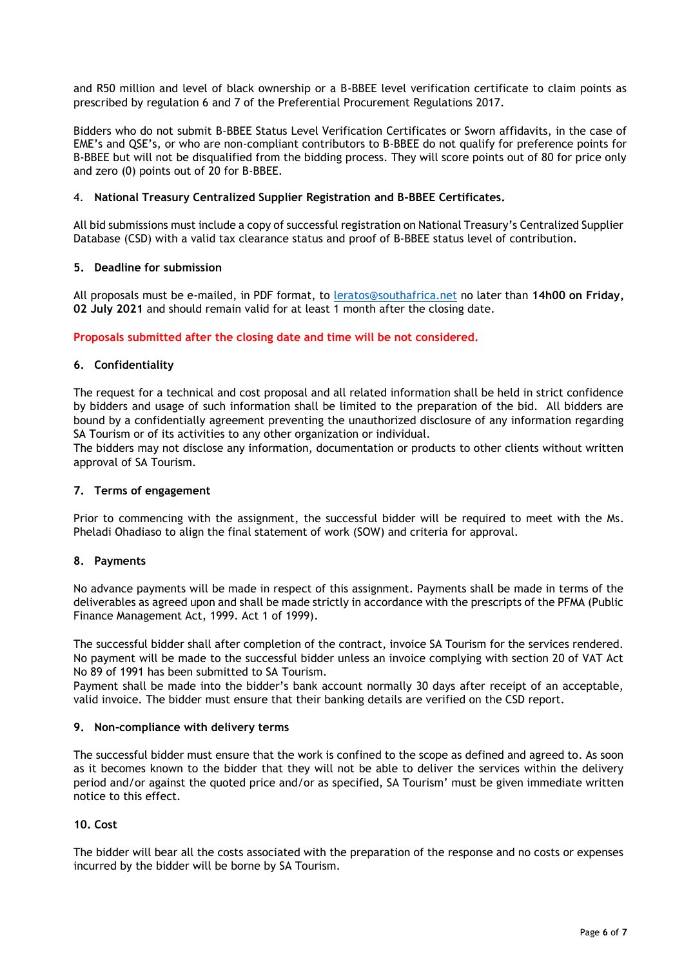and R50 million and level of black ownership or a B-BBEE level verification certificate to claim points as prescribed by regulation 6 and 7 of the Preferential Procurement Regulations 2017.

Bidders who do not submit B-BBEE Status Level Verification Certificates or Sworn affidavits, in the case of EME's and QSE's, or who are non-compliant contributors to B-BBEE do not qualify for preference points for B-BBEE but will not be disqualified from the bidding process. They will score points out of 80 for price only and zero (0) points out of 20 for B-BBEE.

### 4. **National Treasury Centralized Supplier Registration and B-BBEE Certificates.**

All bid submissions must include a copy of successful registration on National Treasury's Centralized Supplier Database (CSD) with a valid tax clearance status and proof of B-BBEE status level of contribution.

### **5. Deadline for submission**

All proposals must be e-mailed, in PDF format, to [leratos@southafrica.net](mailto:leratos@southafrica.net) no later than **14h00 on Friday, 02 July 2021** and should remain valid for at least 1 month after the closing date.

### **Proposals submitted after the closing date and time will be not considered.**

### **6. Confidentiality**

The request for a technical and cost proposal and all related information shall be held in strict confidence by bidders and usage of such information shall be limited to the preparation of the bid. All bidders are bound by a confidentially agreement preventing the unauthorized disclosure of any information regarding SA Tourism or of its activities to any other organization or individual.

The bidders may not disclose any information, documentation or products to other clients without written approval of SA Tourism.

### **7. Terms of engagement**

Prior to commencing with the assignment, the successful bidder will be required to meet with the Ms. Pheladi Ohadiaso to align the final statement of work (SOW) and criteria for approval.

### **8. Payments**

No advance payments will be made in respect of this assignment. Payments shall be made in terms of the deliverables as agreed upon and shall be made strictly in accordance with the prescripts of the PFMA (Public Finance Management Act, 1999. Act 1 of 1999).

The successful bidder shall after completion of the contract, invoice SA Tourism for the services rendered. No payment will be made to the successful bidder unless an invoice complying with section 20 of VAT Act No 89 of 1991 has been submitted to SA Tourism.

Payment shall be made into the bidder's bank account normally 30 days after receipt of an acceptable, valid invoice. The bidder must ensure that their banking details are verified on the CSD report.

### **9. Non-compliance with delivery terms**

The successful bidder must ensure that the work is confined to the scope as defined and agreed to. As soon as it becomes known to the bidder that they will not be able to deliver the services within the delivery period and/or against the quoted price and/or as specified, SA Tourism' must be given immediate written notice to this effect.

# **10. Cost**

The bidder will bear all the costs associated with the preparation of the response and no costs or expenses incurred by the bidder will be borne by SA Tourism.